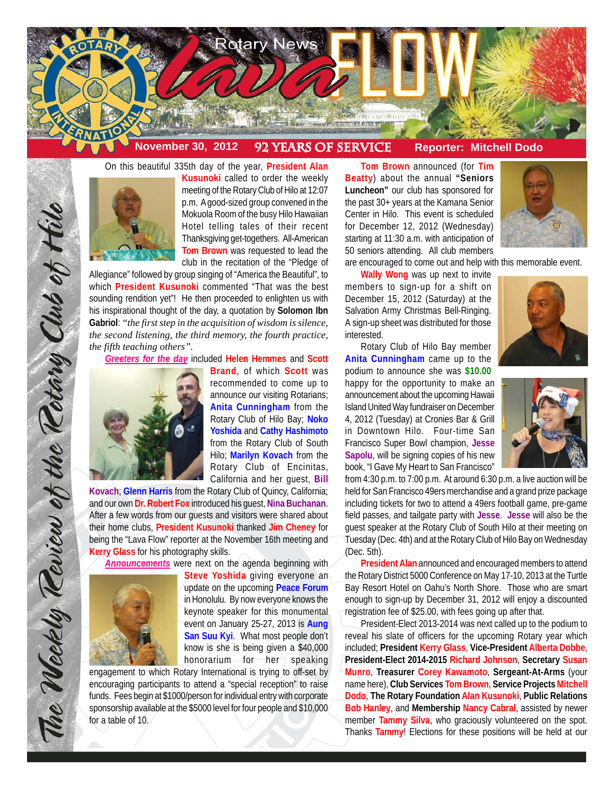

# **November 30, 2012 92 YEARS OF SERVICE Reporter: Mitchell Dodo**

On this beautiful 335th day of the year, **President Alan**



**Kusunoki** called to order the weekly meeting of the Rotary Club of Hilo at 12:07 p.m. A good-sized group convened in the Mokuola Room of the busy Hilo Hawaiian Hotel telling tales of their recent Thanksgiving get-togethers. All-American **Tom Brown** was requested to lead the club in the recitation of the "Pledge of

Allegiance" followed by group singing of "America the Beautiful", to which **President Kusunoki** commented "That was the best sounding rendition yet"! He then proceeded to enlighten us with his inspirational thought of the day, a quotation by **Solomon Ibn Gabriol**: *"the first step in the acquisition of wisdom is silence, the second listening, the third memory, the fourth practice, the fifth teaching others".*

*Greeters for the day* included **Helen Hemmes** and **Scott**



The Weekly Teview of the Tetary Club of Hilo

**Brand**, of which **Scott** was recommended to come up to announce our visiting Rotarians; **Anita Cunningham** from the Rotary Club of Hilo Bay; **Noko Yoshida** and **Cathy Hashimoto** from the Rotary Club of South Hilo; **Marilyn Kovach** from the Rotary Club of Encinitas, California and her guest, **Bill**

**Kovach**; **Glenn Harris** from the Rotary Club of Quincy, California; and our own **Dr. Robert Fox** introduced his guest, **Nina Buchanan**. After a few words from our guests and visitors were shared about their home clubs, **President Kusunoki** thanked **Jim Cheney** for being the "Lava Flow" reporter at the November 16th meeting and **Kerry Glass** for his photography skills.

*Announcements* were next on the agenda beginning with



**Steve Yoshida** giving everyone an update on the upcoming **Peace Forum** in Honolulu. By now everyone knows the keynote speaker for this monumental event on January 25-27, 2013 is **Aung San Suu Kyi**. What most people don't know is she is being given a \$40,000 honorarium for her speaking

engagement to which Rotary International is trying to off-set by encouraging participants to attend a "special reception" to raise funds. Fees begin at \$1000/person for individual entry with corporate sponsorship available at the \$5000 level for four people and \$10,000 for a table of 10.

**Tom Brown** announced (for **Tim Beatty**) about the annual **"Seniors Luncheon"** our club has sponsored for the past 30+ years at the Kamana Senior Center in Hilo. This event is scheduled for December 12, 2012 (Wednesday) starting at 11:30 a.m. with anticipation of 50 seniors attending. All club members



are encouraged to come out and help with this memorable event.

**Wally Wong** was up next to invite members to sign-up for a shift on December 15, 2012 (Saturday) at the Salvation Army Christmas Bell-Ringing. A sign-up sheet was distributed for those interested.

Rotary Club of Hilo Bay member **Anita Cunningham** came up to the podium to announce she was **\$10.00** happy for the opportunity to make an announcement about the upcoming Hawaii Island United Way fundraiser on December 4, 2012 (Tuesday) at Cronies Bar & Grill in Downtown Hilo. Four-time San Francisco Super Bowl champion, **Jesse Sapolu**, will be signing copies of his new book, "I Gave My Heart to San Francisco"

from 4:30 p.m. to 7:00 p.m. At around 6:30 p.m. a live auction will be held for San Francisco 49ers merchandise and a grand prize package including tickets for two to attend a 49ers football game, pre-game field passes, and tailgate party with **Jesse**. **Jesse** will also be the guest speaker at the Rotary Club of South Hilo at their meeting on Tuesday (Dec. 4th) and at the Rotary Club of Hilo Bay on Wednesday (Dec. 5th).

**President Alan** announced and encouraged members to attend the Rotary District 5000 Conference on May 17-10, 2013 at the Turtle Bay Resort Hotel on Oahu's North Shore. Those who are smart enough to sign-up by December 31, 2012 will enjoy a discounted registration fee of \$25.00, with fees going up after that.

President-Elect 2013-2014 was next called up to the podium to reveal his slate of officers for the upcoming Rotary year which included; **President Kerry Glass**, **Vice-President Alberta Dobbe**, **President-Elect 2014-2015 Richard Johnson**, **Secretary Susan Munro**, **Treasurer Corey Kawamoto**, **Sergeant-At-Arms** (your name here), **Club Services Tom Brown**, **Service ProjectsMitchell Dodo**, **The Rotary Foundation Alan Kusunoki**, **Public Relations Bob Hanley**, and **Membership Nancy Cabral**, assisted by newer member **Tammy Silva**, who graciously volunteered on the spot. Thanks **Tammy**! Elections for these positions will be held at our

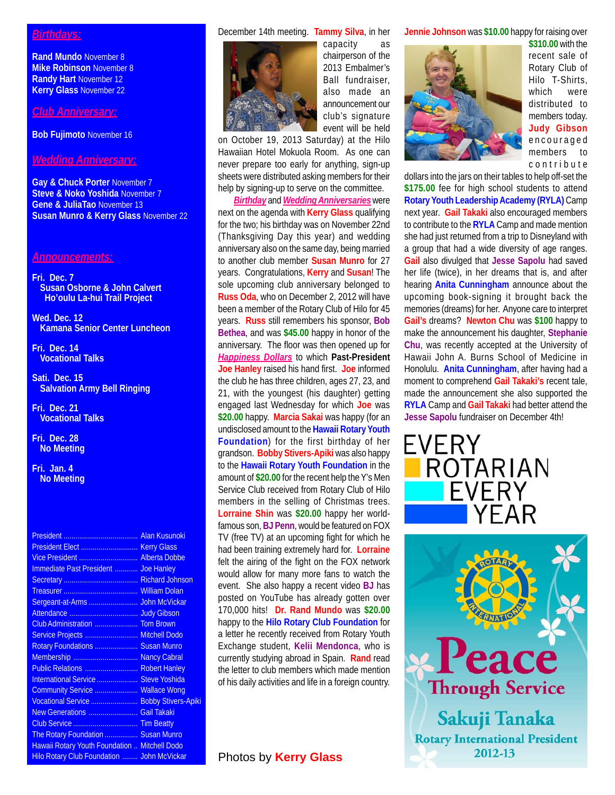## *Birthdays:*

**Rand Mundo** November 8 **Mike Robinson** November 8 **Randy Hart** November 12 **Kerry Glass** November 22

### *Club Anniversary:*

**Bob Fujimoto** November 16

## *Wedding Anniversary:*

**Gay & Chuck Porter** November 7 **Steve & Noko Yoshida** November 7 **Gene & JuliaTao** November 13 **Susan Munro & Kerry Glass** November 22

#### *Announcements:*

- **Fri. Dec. 7 Susan Osborne & John Calvert Ho'oulu La-hui Trail Project**
- **Wed. Dec. 12 Kamana Senior Center Luncheon**
- **Fri. Dec. 14 Vocational Talks**
- **Sati. Dec. 15 Salvation Army Bell Ringing**
- **Fri. Dec. 21 Vocational Talks**
- **Fri. Dec. 28 No Meeting**
- **Fri. Jan. 4 No Meeting**

| Immediate Past President  Joe Hanley                 |  |
|------------------------------------------------------|--|
|                                                      |  |
|                                                      |  |
|                                                      |  |
|                                                      |  |
| Club Administration  Tom Brown                       |  |
| Service Projects  Mitchell Dodo                      |  |
| Rotary Foundations  Susan Munro                      |  |
| Membership  Nancy Cabral                             |  |
| Public Relations  Robert Hanley                      |  |
| International Service  Steve Yoshida                 |  |
| Community Service  Wallace Wong                      |  |
| Vocational Service  Bobby Stivers-Apiki              |  |
| New Generations  Gail Takaki                         |  |
|                                                      |  |
| The Rotary Foundation  Susan Munro                   |  |
| <b>Hawaii Rotary Youth Foundation  Mitchell Dodo</b> |  |
| Hilo Rotary Club Foundation  John McVickar           |  |
|                                                      |  |

#### December 14th meeting. **Tammy Silva**, in her



capacity as chairperson of the 2013 Embalmer's Ball fundraiser, also made an announcement our club's signature event will be held

on October 19, 2013 Saturday) at the Hilo Hawaiian Hotel Mokuola Room. As one can never prepare too early for anything, sign-up sheets were distributed asking members for their help by signing-up to serve on the committee.

*Birthday* and *Wedding Anniversaries* were next on the agenda with **Kerry Glass** qualifying for the two; his birthday was on November 22nd (Thanksgiving Day this year) and wedding anniversary also on the same day, being married to another club member **Susan Munro** for 27 years. Congratulations, **Kerry** and **Susan**! The sole upcoming club anniversary belonged to **Russ Oda**, who on December 2, 2012 will have been a member of the Rotary Club of Hilo for 45 years. **Russ** still remembers his sponsor, **Bob Bethea**, and was **\$45.00** happy in honor of the anniversary. The floor was then opened up for *Happiness Dollars* to which **Past-President Joe Hanley** raised his hand first. **Joe** informed the club he has three children, ages 27, 23, and 21, with the youngest (his daughter) getting engaged last Wednesday for which **Joe** was **\$20.00** happy. **Marcia Sakai** was happy (for an undisclosed amount to the **Hawaii Rotary Youth Foundation**) for the first birthday of her grandson. **Bobby Stivers-Apiki** was also happy to the **Hawaii Rotary Youth Foundation** in the amount of **\$20.00** for the recent help the Y's Men Service Club received from Rotary Club of Hilo members in the selling of Christmas trees. **Lorraine Shin** was **\$20.00** happy her worldfamous son, **BJ Penn**, would be featured on FOX TV (free TV) at an upcoming fight for which he had been training extremely hard for. **Lorraine** felt the airing of the fight on the FOX network would allow for many more fans to watch the event. She also happy a recent video **BJ** has posted on YouTube has already gotten over 170,000 hits! **Dr. Rand Mundo** was **\$20.00** happy to the **Hilo Rotary Club Foundation** for a letter he recently received from Rotary Youth Exchange student, **Kelii Mendonca**, who is currently studying abroad in Spain. **Rand** read the letter to club members which made mention of his daily activities and life in a foreign country.

Photos by **Kerry Glass**

**Jennie Johnson** was **\$10.00** happy for raising over



**\$310.00** with the recent sale of Rotary Club of Hilo T-Shirts, which were distributed to members today. **Judy Gibson** encouraged members to contribute

dollars into the jars on their tables to help off-set the **\$175.00** fee for high school students to attend **Rotary Youth Leadership Academy (RYLA)** Camp next year. **Gail Takaki** also encouraged members to contribute to the **RYLA** Camp and made mention she had just returned from a trip to Disneyland with a group that had a wide diversity of age ranges. **Gail** also divulged that **Jesse Sapolu** had saved her life (twice), in her dreams that is, and after hearing **Anita Cunningham** announce about the upcoming book-signing it brought back the memories (dreams) for her. Anyone care to interpret **Gail's** dreams? **Newton Chu** was **\$100** happy to make the announcement his daughter, **Stephanie Chu**, was recently accepted at the University of Hawaii John A. Burns School of Medicine in Honolulu. **Anita Cunningham**, after having had a moment to comprehend **Gail Takaki's** recent tale, made the announcement she also supported the **RYLA** Camp and **Gail Takaki** had better attend the **Jesse Sapolu** fundraiser on December 4th!